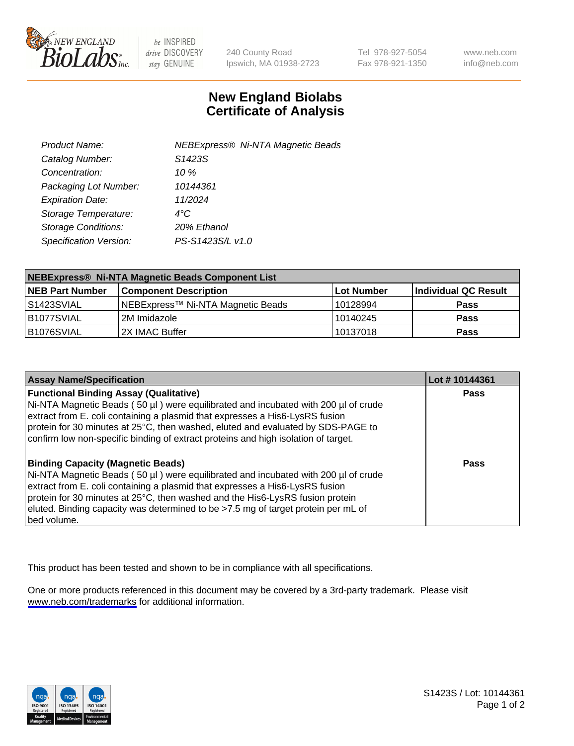

be INSPIRED drive DISCOVERY stay GENUINE

240 County Road Ipswich, MA 01938-2723 Tel 978-927-5054 Fax 978-921-1350

www.neb.com info@neb.com

## **New England Biolabs Certificate of Analysis**

| Product Name:              | <b>NEBExpress® Ni-NTA Magnetic Beads</b> |
|----------------------------|------------------------------------------|
| Catalog Number:            | S1423S                                   |
| Concentration:             | 10 %                                     |
| Packaging Lot Number:      | 10144361                                 |
| <b>Expiration Date:</b>    | 11/2024                                  |
| Storage Temperature:       | $4^{\circ}$ C                            |
| <b>Storage Conditions:</b> | 20% Ethanol                              |
| Specification Version:     | PS-S1423S/L v1.0                         |
|                            |                                          |

| NEBExpress® Ni-NTA Magnetic Beads Component List |                                   |            |                      |  |
|--------------------------------------------------|-----------------------------------|------------|----------------------|--|
| <b>NEB Part Number</b>                           | <b>Component Description</b>      | Lot Number | Individual QC Result |  |
| IS1423SVIAL                                      | NEBExpress™ Ni-NTA Magnetic Beads | 10128994   | <b>Pass</b>          |  |
| B1077SVIAL                                       | 2M Imidazole                      | 10140245   | <b>Pass</b>          |  |
| B1076SVIAL                                       | 2X IMAC Buffer                    | 10137018   | <b>Pass</b>          |  |

| <b>Assay Name/Specification</b>                                                                                                                                                                                                                                                                                                                                                                     | Lot #10144361 |
|-----------------------------------------------------------------------------------------------------------------------------------------------------------------------------------------------------------------------------------------------------------------------------------------------------------------------------------------------------------------------------------------------------|---------------|
| <b>Functional Binding Assay (Qualitative)</b><br>Ni-NTA Magnetic Beads (50 µl) were equilibrated and incubated with 200 µl of crude<br>extract from E. coli containing a plasmid that expresses a His6-LysRS fusion<br>protein for 30 minutes at 25°C, then washed, eluted and evaluated by SDS-PAGE to<br>confirm low non-specific binding of extract proteins and high isolation of target.       | <b>Pass</b>   |
| <b>Binding Capacity (Magnetic Beads)</b><br>Ni-NTA Magnetic Beads (50 µl) were equilibrated and incubated with 200 µl of crude<br>extract from E. coli containing a plasmid that expresses a His6-LysRS fusion<br>protein for 30 minutes at 25°C, then washed and the His6-LysRS fusion protein<br>eluted. Binding capacity was determined to be >7.5 mg of target protein per mL of<br>bed volume. | Pass          |

This product has been tested and shown to be in compliance with all specifications.

One or more products referenced in this document may be covered by a 3rd-party trademark. Please visit <www.neb.com/trademarks>for additional information.